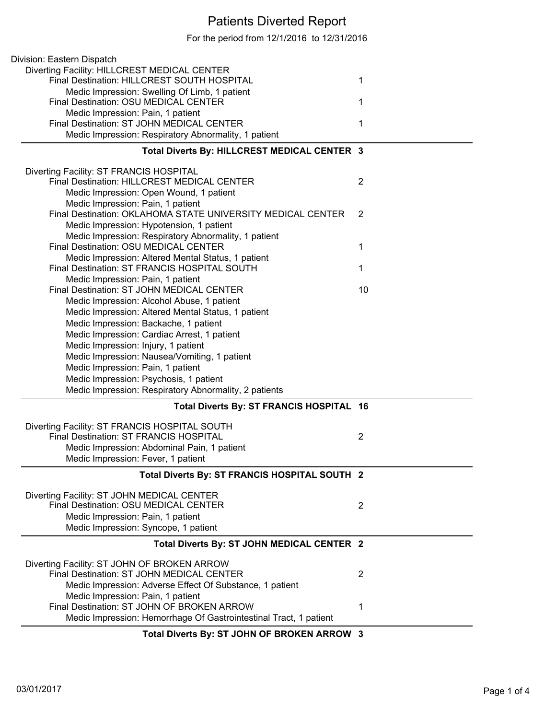## Patients Diverted Report

For the period from 12/1/2016 to 12/31/2016

| Division: Eastern Dispatch                                        |                |
|-------------------------------------------------------------------|----------------|
| Diverting Facility: HILLCREST MEDICAL CENTER                      |                |
| Final Destination: HILLCREST SOUTH HOSPITAL                       | 1              |
| Medic Impression: Swelling Of Limb, 1 patient                     |                |
| Final Destination: OSU MEDICAL CENTER                             | 1              |
| Medic Impression: Pain, 1 patient                                 |                |
| Final Destination: ST JOHN MEDICAL CENTER                         | 1              |
| Medic Impression: Respiratory Abnormality, 1 patient              |                |
|                                                                   |                |
| Total Diverts By: HILLCREST MEDICAL CENTER 3                      |                |
| Diverting Facility: ST FRANCIS HOSPITAL                           |                |
| Final Destination: HILLCREST MEDICAL CENTER                       | $\overline{2}$ |
| Medic Impression: Open Wound, 1 patient                           |                |
| Medic Impression: Pain, 1 patient                                 |                |
| Final Destination: OKLAHOMA STATE UNIVERSITY MEDICAL CENTER       | 2              |
|                                                                   |                |
| Medic Impression: Hypotension, 1 patient                          |                |
| Medic Impression: Respiratory Abnormality, 1 patient              |                |
| Final Destination: OSU MEDICAL CENTER                             | 1              |
| Medic Impression: Altered Mental Status, 1 patient                |                |
| Final Destination: ST FRANCIS HOSPITAL SOUTH                      | 1              |
| Medic Impression: Pain, 1 patient                                 |                |
| Final Destination: ST JOHN MEDICAL CENTER                         | 10             |
| Medic Impression: Alcohol Abuse, 1 patient                        |                |
| Medic Impression: Altered Mental Status, 1 patient                |                |
|                                                                   |                |
| Medic Impression: Backache, 1 patient                             |                |
| Medic Impression: Cardiac Arrest, 1 patient                       |                |
| Medic Impression: Injury, 1 patient                               |                |
| Medic Impression: Nausea/Vomiting, 1 patient                      |                |
| Medic Impression: Pain, 1 patient                                 |                |
| Medic Impression: Psychosis, 1 patient                            |                |
| Medic Impression: Respiratory Abnormality, 2 patients             |                |
| Total Diverts By: ST FRANCIS HOSPITAL 16                          |                |
|                                                                   |                |
| Diverting Facility: ST FRANCIS HOSPITAL SOUTH                     |                |
| Final Destination: ST FRANCIS HOSPITAL                            | $\overline{2}$ |
| Medic Impression: Abdominal Pain, 1 patient                       |                |
| Medic Impression: Fever, 1 patient                                |                |
| Total Diverts By: ST FRANCIS HOSPITAL SOUTH 2                     |                |
|                                                                   |                |
| Diverting Facility: ST JOHN MEDICAL CENTER                        |                |
| Final Destination: OSU MEDICAL CENTER                             | 2              |
| Medic Impression: Pain, 1 patient                                 |                |
| Medic Impression: Syncope, 1 patient                              |                |
|                                                                   |                |
| Total Diverts By: ST JOHN MEDICAL CENTER 2                        |                |
| Diverting Facility: ST JOHN OF BROKEN ARROW                       |                |
| Final Destination: ST JOHN MEDICAL CENTER                         | 2              |
| Medic Impression: Adverse Effect Of Substance, 1 patient          |                |
|                                                                   |                |
| Medic Impression: Pain, 1 patient                                 |                |
| Final Destination: ST JOHN OF BROKEN ARROW                        | 1              |
| Medic Impression: Hemorrhage Of Gastrointestinal Tract, 1 patient |                |
| <b>District On AT JOUN OF PROVEN ARROW A</b>                      |                |

## **Total Diverts By: ST JOHN OF BROKEN ARROW 3**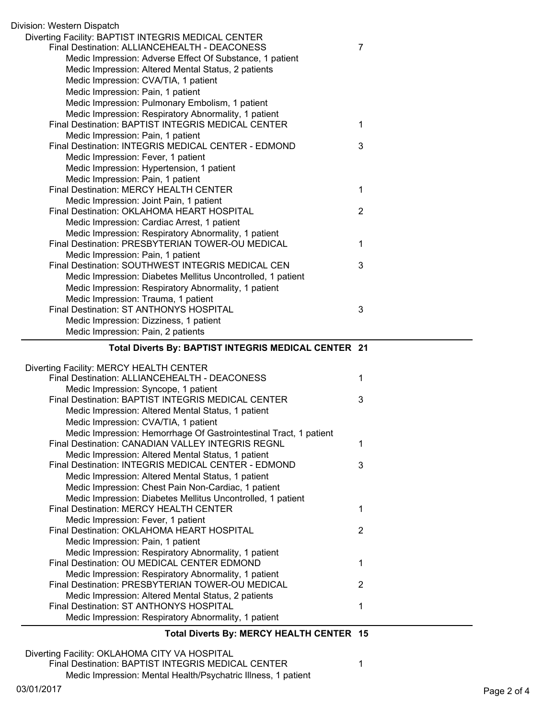| Division: Western Dispatch                                        |                |
|-------------------------------------------------------------------|----------------|
| Diverting Facility: BAPTIST INTEGRIS MEDICAL CENTER               |                |
| Final Destination: ALLIANCEHEALTH - DEACONESS                     | $\overline{7}$ |
| Medic Impression: Adverse Effect Of Substance, 1 patient          |                |
| Medic Impression: Altered Mental Status, 2 patients               |                |
| Medic Impression: CVA/TIA, 1 patient                              |                |
| Medic Impression: Pain, 1 patient                                 |                |
| Medic Impression: Pulmonary Embolism, 1 patient                   |                |
| Medic Impression: Respiratory Abnormality, 1 patient              |                |
| Final Destination: BAPTIST INTEGRIS MEDICAL CENTER                | 1              |
| Medic Impression: Pain, 1 patient                                 |                |
| Final Destination: INTEGRIS MEDICAL CENTER - EDMOND               | 3              |
| Medic Impression: Fever, 1 patient                                |                |
| Medic Impression: Hypertension, 1 patient                         |                |
| Medic Impression: Pain, 1 patient                                 |                |
| Final Destination: MERCY HEALTH CENTER                            | 1              |
| Medic Impression: Joint Pain, 1 patient                           |                |
| Final Destination: OKLAHOMA HEART HOSPITAL                        | $\overline{2}$ |
| Medic Impression: Cardiac Arrest, 1 patient                       |                |
| Medic Impression: Respiratory Abnormality, 1 patient              |                |
| Final Destination: PRESBYTERIAN TOWER-OU MEDICAL                  | 1              |
| Medic Impression: Pain, 1 patient                                 |                |
| Final Destination: SOUTHWEST INTEGRIS MEDICAL CEN                 | 3              |
| Medic Impression: Diabetes Mellitus Uncontrolled, 1 patient       |                |
| Medic Impression: Respiratory Abnormality, 1 patient              |                |
| Medic Impression: Trauma, 1 patient                               |                |
| Final Destination: ST ANTHONYS HOSPITAL                           | 3              |
| Medic Impression: Dizziness, 1 patient                            |                |
| Medic Impression: Pain, 2 patients                                |                |
|                                                                   |                |
|                                                                   |                |
| Total Diverts By: BAPTIST INTEGRIS MEDICAL CENTER 21              |                |
|                                                                   |                |
| Diverting Facility: MERCY HEALTH CENTER                           |                |
| Final Destination: ALLIANCEHEALTH - DEACONESS                     | 1              |
| Medic Impression: Syncope, 1 patient                              |                |
| Final Destination: BAPTIST INTEGRIS MEDICAL CENTER                | 3              |
| Medic Impression: Altered Mental Status, 1 patient                |                |
| Medic Impression: CVA/TIA, 1 patient                              |                |
| Medic Impression: Hemorrhage Of Gastrointestinal Tract, 1 patient |                |
| Final Destination: CANADIAN VALLEY INTEGRIS REGNL                 | 1              |
| Medic Impression: Altered Mental Status, 1 patient                |                |
| Final Destination: INTEGRIS MEDICAL CENTER - EDMOND               | 3              |
| Medic Impression: Altered Mental Status, 1 patient                |                |
| Medic Impression: Chest Pain Non-Cardiac, 1 patient               |                |
| Medic Impression: Diabetes Mellitus Uncontrolled, 1 patient       |                |
| Final Destination: MERCY HEALTH CENTER                            | 1              |
| Medic Impression: Fever, 1 patient                                |                |
| Final Destination: OKLAHOMA HEART HOSPITAL                        | $\overline{2}$ |
| Medic Impression: Pain, 1 patient                                 |                |
| Medic Impression: Respiratory Abnormality, 1 patient              |                |
| Final Destination: OU MEDICAL CENTER EDMOND                       | 1              |
| Medic Impression: Respiratory Abnormality, 1 patient              |                |
| Final Destination: PRESBYTERIAN TOWER-OU MEDICAL                  | $\overline{2}$ |
| Medic Impression: Altered Mental Status, 2 patients               |                |
| Final Destination: ST ANTHONYS HOSPITAL                           | 1              |
| Medic Impression: Respiratory Abnormality, 1 patient              |                |
|                                                                   |                |
| Total Diverts By: MERCY HEALTH CENTER 15                          |                |

Final Destination: BAPTIST INTEGRIS MEDICAL CENTER 1

Medic Impression: Mental Health/Psychatric Illness, 1 patient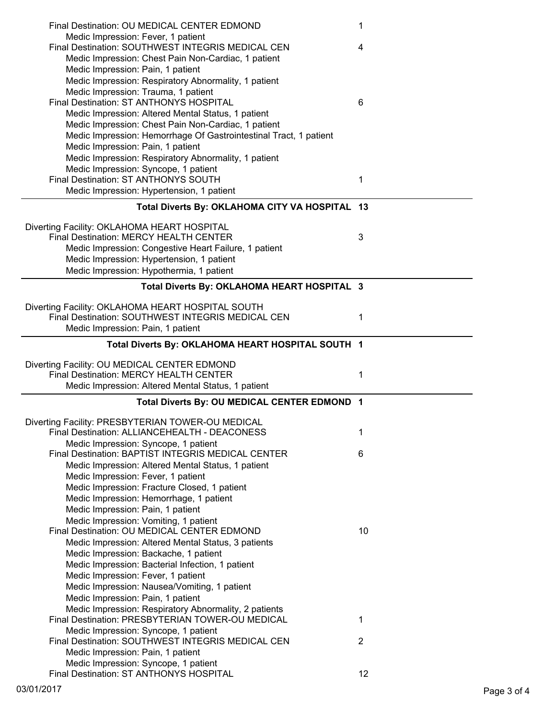| Final Destination: OU MEDICAL CENTER EDMOND                                                        | 1              |
|----------------------------------------------------------------------------------------------------|----------------|
| Medic Impression: Fever, 1 patient                                                                 |                |
| Final Destination: SOUTHWEST INTEGRIS MEDICAL CEN                                                  | 4              |
| Medic Impression: Chest Pain Non-Cardiac, 1 patient                                                |                |
| Medic Impression: Pain, 1 patient                                                                  |                |
| Medic Impression: Respiratory Abnormality, 1 patient                                               |                |
| Medic Impression: Trauma, 1 patient                                                                |                |
| Final Destination: ST ANTHONYS HOSPITAL                                                            | 6              |
| Medic Impression: Altered Mental Status, 1 patient                                                 |                |
| Medic Impression: Chest Pain Non-Cardiac, 1 patient                                                |                |
| Medic Impression: Hemorrhage Of Gastrointestinal Tract, 1 patient                                  |                |
| Medic Impression: Pain, 1 patient                                                                  |                |
| Medic Impression: Respiratory Abnormality, 1 patient                                               |                |
| Medic Impression: Syncope, 1 patient                                                               |                |
| Final Destination: ST ANTHONYS SOUTH                                                               | 1              |
| Medic Impression: Hypertension, 1 patient                                                          |                |
| Total Diverts By: OKLAHOMA CITY VA HOSPITAL 13                                                     |                |
|                                                                                                    |                |
| Diverting Facility: OKLAHOMA HEART HOSPITAL                                                        |                |
| Final Destination: MERCY HEALTH CENTER                                                             | 3              |
| Medic Impression: Congestive Heart Failure, 1 patient                                              |                |
| Medic Impression: Hypertension, 1 patient                                                          |                |
| Medic Impression: Hypothermia, 1 patient                                                           |                |
|                                                                                                    |                |
| Total Diverts By: OKLAHOMA HEART HOSPITAL 3                                                        |                |
| Diverting Facility: OKLAHOMA HEART HOSPITAL SOUTH                                                  |                |
| Final Destination: SOUTHWEST INTEGRIS MEDICAL CEN                                                  | 1              |
| Medic Impression: Pain, 1 patient                                                                  |                |
|                                                                                                    |                |
| Total Diverts By: OKLAHOMA HEART HOSPITAL SOUTH 1                                                  |                |
| Diverting Facility: OU MEDICAL CENTER EDMOND                                                       |                |
|                                                                                                    |                |
| Final Destination: MERCY HEALTH CENTER                                                             | 1              |
| Medic Impression: Altered Mental Status, 1 patient                                                 |                |
|                                                                                                    |                |
| Total Diverts By: OU MEDICAL CENTER EDMOND 1                                                       |                |
|                                                                                                    |                |
| Diverting Facility: PRESBYTERIAN TOWER-OU MEDICAL<br>Final Destination: ALLIANCEHEALTH - DEACONESS | 1              |
| Medic Impression: Syncope, 1 patient                                                               |                |
| Final Destination: BAPTIST INTEGRIS MEDICAL CENTER                                                 | 6              |
| Medic Impression: Altered Mental Status, 1 patient                                                 |                |
| Medic Impression: Fever, 1 patient                                                                 |                |
| Medic Impression: Fracture Closed, 1 patient                                                       |                |
| Medic Impression: Hemorrhage, 1 patient                                                            |                |
| Medic Impression: Pain, 1 patient                                                                  |                |
| Medic Impression: Vomiting, 1 patient                                                              |                |
| Final Destination: OU MEDICAL CENTER EDMOND                                                        | 10             |
| Medic Impression: Altered Mental Status, 3 patients                                                |                |
|                                                                                                    |                |
| Medic Impression: Backache, 1 patient                                                              |                |
| Medic Impression: Bacterial Infection, 1 patient                                                   |                |
| Medic Impression: Fever, 1 patient<br>Medic Impression: Nausea/Vomiting, 1 patient                 |                |
| Medic Impression: Pain, 1 patient                                                                  |                |
| Medic Impression: Respiratory Abnormality, 2 patients                                              |                |
| Final Destination: PRESBYTERIAN TOWER-OU MEDICAL                                                   | 1              |
| Medic Impression: Syncope, 1 patient                                                               |                |
| Final Destination: SOUTHWEST INTEGRIS MEDICAL CEN                                                  | $\overline{2}$ |
| Medic Impression: Pain, 1 patient                                                                  |                |
| Medic Impression: Syncope, 1 patient<br>Final Destination: ST ANTHONYS HOSPITAL                    | 12             |